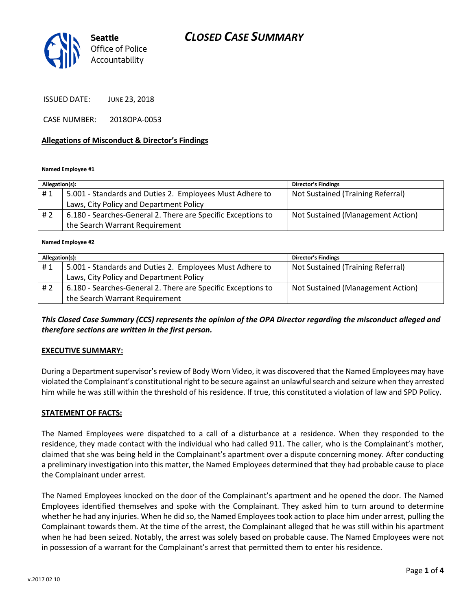# *CLOSED CASE SUMMARY*



ISSUED DATE: JUNE 23, 2018

CASE NUMBER: 2018OPA-0053

#### **Allegations of Misconduct & Director's Findings**

**Named Employee #1**

| Allegation(s): |                                                              | <b>Director's Findings</b>        |
|----------------|--------------------------------------------------------------|-----------------------------------|
| #1             | 5.001 - Standards and Duties 2. Employees Must Adhere to     | Not Sustained (Training Referral) |
|                | Laws, City Policy and Department Policy                      |                                   |
| #2             | 6.180 - Searches-General 2. There are Specific Exceptions to | Not Sustained (Management Action) |
|                | the Search Warrant Requirement                               |                                   |

**Named Employee #2**

| Allegation(s): |                                                              | <b>Director's Findings</b>        |
|----------------|--------------------------------------------------------------|-----------------------------------|
| #1             | 5.001 - Standards and Duties 2. Employees Must Adhere to     | Not Sustained (Training Referral) |
|                | Laws, City Policy and Department Policy                      |                                   |
| #2             | 6.180 - Searches-General 2. There are Specific Exceptions to | Not Sustained (Management Action) |
|                | the Search Warrant Requirement                               |                                   |

*This Closed Case Summary (CCS) represents the opinion of the OPA Director regarding the misconduct alleged and therefore sections are written in the first person.* 

### **EXECUTIVE SUMMARY:**

During a Department supervisor's review of Body Worn Video, it was discovered that the Named Employees may have violated the Complainant's constitutional right to be secure against an unlawful search and seizure when they arrested him while he was still within the threshold of his residence. If true, this constituted a violation of law and SPD Policy.

#### **STATEMENT OF FACTS:**

The Named Employees were dispatched to a call of a disturbance at a residence. When they responded to the residence, they made contact with the individual who had called 911. The caller, who is the Complainant's mother, claimed that she was being held in the Complainant's apartment over a dispute concerning money. After conducting a preliminary investigation into this matter, the Named Employees determined that they had probable cause to place the Complainant under arrest.

The Named Employees knocked on the door of the Complainant's apartment and he opened the door. The Named Employees identified themselves and spoke with the Complainant. They asked him to turn around to determine whether he had any injuries. When he did so, the Named Employees took action to place him under arrest, pulling the Complainant towards them. At the time of the arrest, the Complainant alleged that he was still within his apartment when he had been seized. Notably, the arrest was solely based on probable cause. The Named Employees were not in possession of a warrant for the Complainant's arrest that permitted them to enter his residence.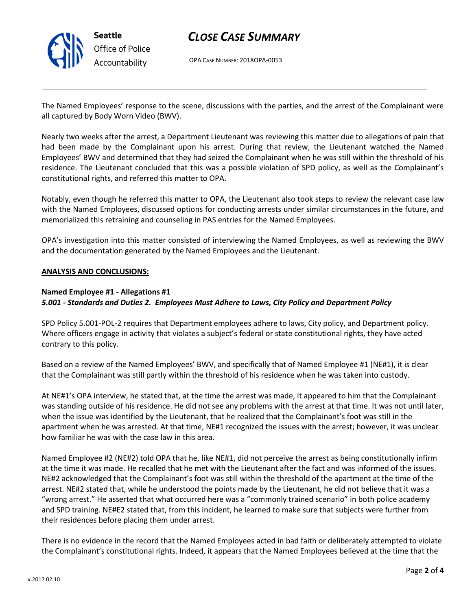

### *CLOSE CASE SUMMARY*

OPA CASE NUMBER: 2018OPA-0053

The Named Employees' response to the scene, discussions with the parties, and the arrest of the Complainant were all captured by Body Worn Video (BWV).

Nearly two weeks after the arrest, a Department Lieutenant was reviewing this matter due to allegations of pain that had been made by the Complainant upon his arrest. During that review, the Lieutenant watched the Named Employees' BWV and determined that they had seized the Complainant when he was still within the threshold of his residence. The Lieutenant concluded that this was a possible violation of SPD policy, as well as the Complainant's constitutional rights, and referred this matter to OPA.

Notably, even though he referred this matter to OPA, the Lieutenant also took steps to review the relevant case law with the Named Employees, discussed options for conducting arrests under similar circumstances in the future, and memorialized this retraining and counseling in PAS entries for the Named Employees.

OPA's investigation into this matter consisted of interviewing the Named Employees, as well as reviewing the BWV and the documentation generated by the Named Employees and the Lieutenant.

### **ANALYSIS AND CONCLUSIONS:**

### **Named Employee #1 - Allegations #1**

### *5.001 - Standards and Duties 2. Employees Must Adhere to Laws, City Policy and Department Policy*

SPD Policy 5.001-POL-2 requires that Department employees adhere to laws, City policy, and Department policy. Where officers engage in activity that violates a subject's federal or state constitutional rights, they have acted contrary to this policy.

Based on a review of the Named Employees' BWV, and specifically that of Named Employee #1 (NE#1), it is clear that the Complainant was still partly within the threshold of his residence when he was taken into custody.

At NE#1's OPA interview, he stated that, at the time the arrest was made, it appeared to him that the Complainant was standing outside of his residence. He did not see any problems with the arrest at that time. It was not until later, when the issue was identified by the Lieutenant, that he realized that the Complainant's foot was still in the apartment when he was arrested. At that time, NE#1 recognized the issues with the arrest; however, it was unclear how familiar he was with the case law in this area.

Named Employee #2 (NE#2) told OPA that he, like NE#1, did not perceive the arrest as being constitutionally infirm at the time it was made. He recalled that he met with the Lieutenant after the fact and was informed of the issues. NE#2 acknowledged that the Complainant's foot was still within the threshold of the apartment at the time of the arrest. NE#2 stated that, while he understood the points made by the Lieutenant, he did not believe that it was a "wrong arrest." He asserted that what occurred here was a "commonly trained scenario" in both police academy and SPD training. NE#E2 stated that, from this incident, he learned to make sure that subjects were further from their residences before placing them under arrest.

There is no evidence in the record that the Named Employees acted in bad faith or deliberately attempted to violate the Complainant's constitutional rights. Indeed, it appears that the Named Employees believed at the time that the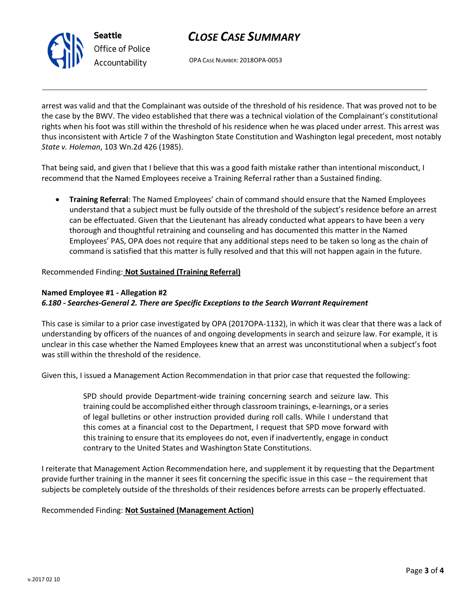

# *CLOSE CASE SUMMARY*

OPA CASE NUMBER: 2018OPA-0053

arrest was valid and that the Complainant was outside of the threshold of his residence. That was proved not to be the case by the BWV. The video established that there was a technical violation of the Complainant's constitutional rights when his foot was still within the threshold of his residence when he was placed under arrest. This arrest was thus inconsistent with Article 7 of the Washington State Constitution and Washington legal precedent, most notably *State v. Holeman*, 103 Wn.2d 426 (1985).

That being said, and given that I believe that this was a good faith mistake rather than intentional misconduct, I recommend that the Named Employees receive a Training Referral rather than a Sustained finding.

 **Training Referral**: The Named Employees' chain of command should ensure that the Named Employees understand that a subject must be fully outside of the threshold of the subject's residence before an arrest can be effectuated. Given that the Lieutenant has already conducted what appears to have been a very thorough and thoughtful retraining and counseling and has documented this matter in the Named Employees' PAS, OPA does not require that any additional steps need to be taken so long as the chain of command is satisfied that this matter is fully resolved and that this will not happen again in the future.

Recommended Finding: **Not Sustained (Training Referral)**

### **Named Employee #1 - Allegation #2**

### *6.180 - Searches-General 2. There are Specific Exceptions to the Search Warrant Requirement*

This case is similar to a prior case investigated by OPA (2017OPA-1132), in which it was clear that there was a lack of understanding by officers of the nuances of and ongoing developments in search and seizure law. For example, it is unclear in this case whether the Named Employees knew that an arrest was unconstitutional when a subject's foot was still within the threshold of the residence.

Given this, I issued a Management Action Recommendation in that prior case that requested the following:

SPD should provide Department-wide training concerning search and seizure law. This training could be accomplished either through classroom trainings, e-learnings, or a series of legal bulletins or other instruction provided during roll calls. While I understand that this comes at a financial cost to the Department, I request that SPD move forward with this training to ensure that its employees do not, even if inadvertently, engage in conduct contrary to the United States and Washington State Constitutions.

I reiterate that Management Action Recommendation here, and supplement it by requesting that the Department provide further training in the manner it sees fit concerning the specific issue in this case – the requirement that subjects be completely outside of the thresholds of their residences before arrests can be properly effectuated.

### Recommended Finding: **Not Sustained (Management Action)**